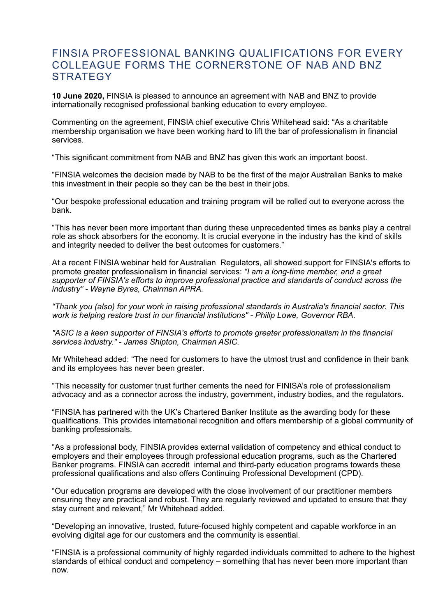## FINSIA PROFESSIONAL BANKING QUALIFICATIONS FOR EVERY COLLEAGUE FORMS THE CORNERSTONE OF NAB AND BNZ **STRATEGY**

**10 June 2020,** FINSIA is pleased to announce an agreement with NAB and BNZ to provide internationally recognised professional banking education to every employee.

Commenting on the agreement, FINSIA chief executive Chris Whitehead said: "As a charitable membership organisation we have been working hard to lift the bar of professionalism in financial services.

"This significant commitment from NAB and BNZ has given this work an important boost.

"FINSIA welcomes the decision made by NAB to be the first of the major Australian Banks to make this investment in their people so they can be the best in their jobs.

"Our bespoke professional education and training program will be rolled out to everyone across the bank.

"This has never been more important than during these unprecedented times as banks play a central role as shock absorbers for the economy. It is crucial everyone in the industry has the kind of skills and integrity needed to deliver the best outcomes for customers."

At a recent FINSIA webinar held for Australian Regulators, all showed support for FINSIA's efforts to promote greater professionalism in financial services: *"I am a long-time member, and a great supporter of FINSIA's efforts to improve professional practice and standards of conduct across the industry" - Wayne Byres, Chairman APRA.* 

*"Thank you (also) for your work in raising professional standards in Australia's financial sector. This work is helping restore trust in our financial institutions" - Philip Lowe, Governor RBA.* 

*"ASIC is a keen supporter of FINSIA's efforts to promote greater professionalism in the financial services industry." - James Shipton, Chairman ASIC.* 

Mr Whitehead added: "The need for customers to have the utmost trust and confidence in their bank and its employees has never been greater.

"This necessity for customer trust further cements the need for FINISA's role of professionalism advocacy and as a connector across the industry, government, industry bodies, and the regulators.

"FINSIA has partnered with the UK's Chartered Banker Institute as the awarding body for these qualifications. This provides international recognition and offers membership of a global community of banking professionals.

"As a professional body, FINSIA provides external validation of competency and ethical conduct to employers and their employees through professional education programs, such as the Chartered Banker programs. FINSIA can accredit internal and third-party education programs towards these professional qualifications and also offers Continuing Professional Development (CPD).

"Our education programs are developed with the close involvement of our practitioner members ensuring they are practical and robust. They are regularly reviewed and updated to ensure that they stay current and relevant," Mr Whitehead added.

"Developing an innovative, trusted, future-focused highly competent and capable workforce in an evolving digital age for our customers and the community is essential.

"FINSIA is a professional community of highly regarded individuals committed to adhere to the highest standards of ethical conduct and competency – something that has never been more important than now.